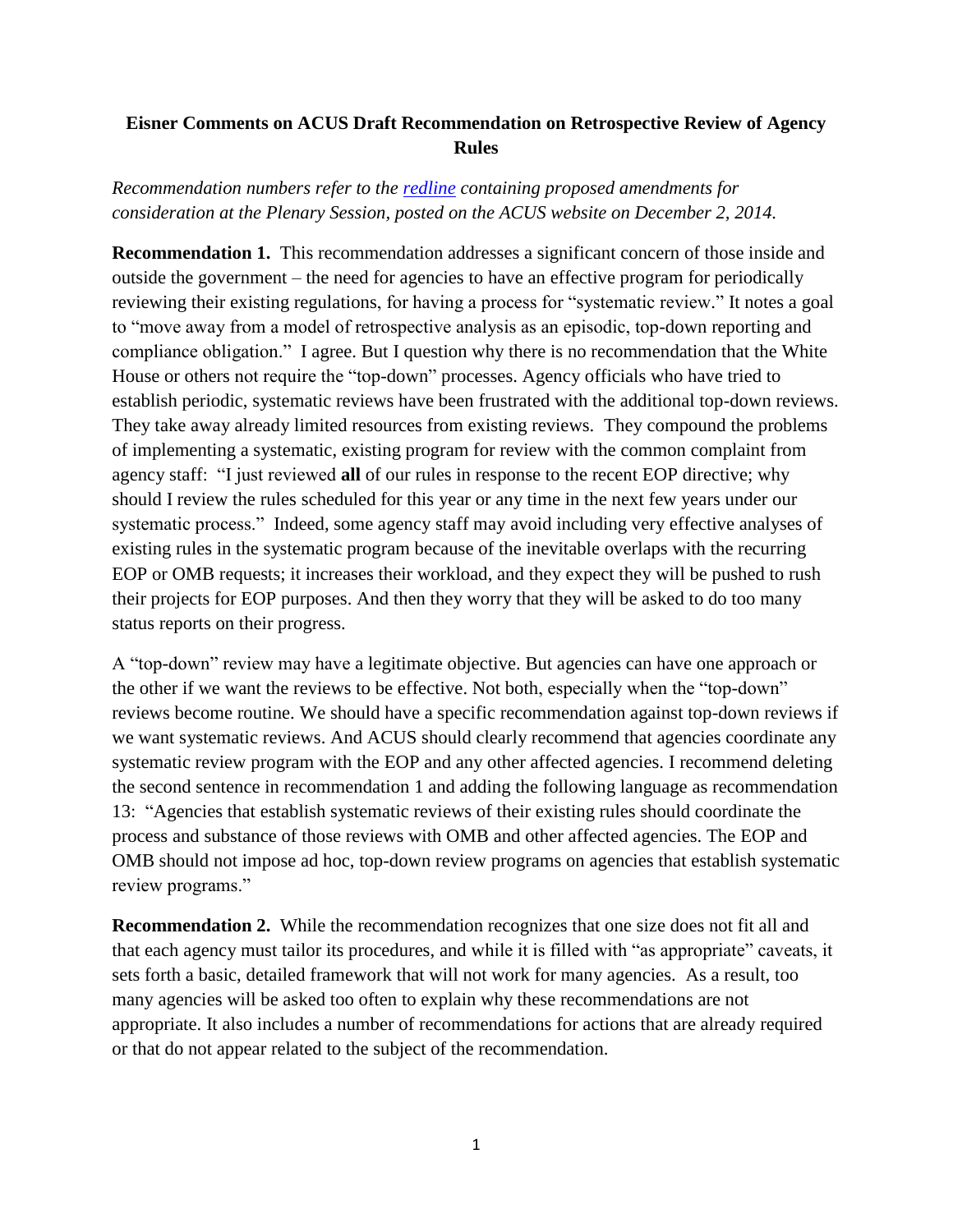## **Eisner Comments on ACUS Draft Recommendation on Retrospective Review of Agency Rules**

## *Recommendation numbers refer to the [redline](http://www.acus.gov/sites/default/files/documents/Retrospective%20Review%20Recommendation%20FINAL%20REDLINE%20for%20Plenary%20Session%20%5B12-4-14%5D.pdf) containing proposed amendments for consideration at the Plenary Session, posted on the ACUS website on December 2, 2014.*

**Recommendation 1.** This recommendation addresses a significant concern of those inside and outside the government – the need for agencies to have an effective program for periodically reviewing their existing regulations, for having a process for "systematic review." It notes a goal to "move away from a model of retrospective analysis as an episodic, top-down reporting and compliance obligation." I agree. But I question why there is no recommendation that the White House or others not require the "top-down" processes. Agency officials who have tried to establish periodic, systematic reviews have been frustrated with the additional top-down reviews. They take away already limited resources from existing reviews. They compound the problems of implementing a systematic, existing program for review with the common complaint from agency staff: "I just reviewed **all** of our rules in response to the recent EOP directive; why should I review the rules scheduled for this year or any time in the next few years under our systematic process." Indeed, some agency staff may avoid including very effective analyses of existing rules in the systematic program because of the inevitable overlaps with the recurring EOP or OMB requests; it increases their workload, and they expect they will be pushed to rush their projects for EOP purposes. And then they worry that they will be asked to do too many status reports on their progress.

A "top-down" review may have a legitimate objective. But agencies can have one approach or the other if we want the reviews to be effective. Not both, especially when the "top-down" reviews become routine. We should have a specific recommendation against top-down reviews if we want systematic reviews. And ACUS should clearly recommend that agencies coordinate any systematic review program with the EOP and any other affected agencies. I recommend deleting the second sentence in recommendation 1 and adding the following language as recommendation 13: "Agencies that establish systematic reviews of their existing rules should coordinate the process and substance of those reviews with OMB and other affected agencies. The EOP and OMB should not impose ad hoc, top-down review programs on agencies that establish systematic review programs."

**Recommendation 2.** While the recommendation recognizes that one size does not fit all and that each agency must tailor its procedures, and while it is filled with "as appropriate" caveats, it sets forth a basic, detailed framework that will not work for many agencies. As a result, too many agencies will be asked too often to explain why these recommendations are not appropriate. It also includes a number of recommendations for actions that are already required or that do not appear related to the subject of the recommendation.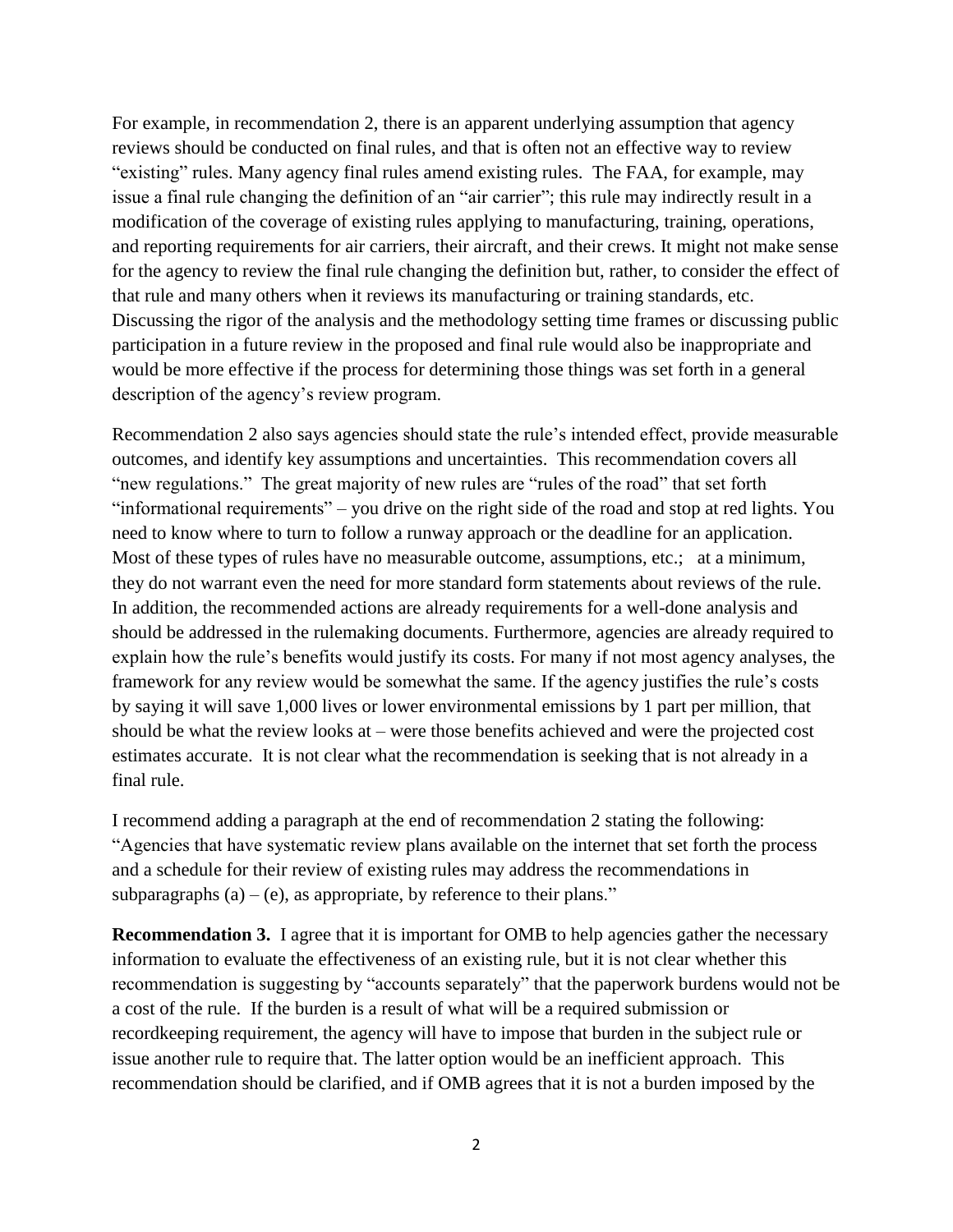For example, in recommendation 2, there is an apparent underlying assumption that agency reviews should be conducted on final rules, and that is often not an effective way to review "existing" rules. Many agency final rules amend existing rules. The FAA, for example, may issue a final rule changing the definition of an "air carrier"; this rule may indirectly result in a modification of the coverage of existing rules applying to manufacturing, training, operations, and reporting requirements for air carriers, their aircraft, and their crews. It might not make sense for the agency to review the final rule changing the definition but, rather, to consider the effect of that rule and many others when it reviews its manufacturing or training standards, etc. Discussing the rigor of the analysis and the methodology setting time frames or discussing public participation in a future review in the proposed and final rule would also be inappropriate and would be more effective if the process for determining those things was set forth in a general description of the agency's review program.

Recommendation 2 also says agencies should state the rule's intended effect, provide measurable outcomes, and identify key assumptions and uncertainties. This recommendation covers all "new regulations." The great majority of new rules are "rules of the road" that set forth "informational requirements" – you drive on the right side of the road and stop at red lights. You need to know where to turn to follow a runway approach or the deadline for an application. Most of these types of rules have no measurable outcome, assumptions, etc.; at a minimum, they do not warrant even the need for more standard form statements about reviews of the rule. In addition, the recommended actions are already requirements for a well-done analysis and should be addressed in the rulemaking documents. Furthermore, agencies are already required to explain how the rule's benefits would justify its costs. For many if not most agency analyses, the framework for any review would be somewhat the same. If the agency justifies the rule's costs by saying it will save 1,000 lives or lower environmental emissions by 1 part per million, that should be what the review looks at – were those benefits achieved and were the projected cost estimates accurate. It is not clear what the recommendation is seeking that is not already in a final rule.

I recommend adding a paragraph at the end of recommendation 2 stating the following: "Agencies that have systematic review plans available on the internet that set forth the process and a schedule for their review of existing rules may address the recommendations in subparagraphs  $(a) - (e)$ , as appropriate, by reference to their plans."

**Recommendation 3.** I agree that it is important for OMB to help agencies gather the necessary information to evaluate the effectiveness of an existing rule, but it is not clear whether this recommendation is suggesting by "accounts separately" that the paperwork burdens would not be a cost of the rule. If the burden is a result of what will be a required submission or recordkeeping requirement, the agency will have to impose that burden in the subject rule or issue another rule to require that. The latter option would be an inefficient approach. This recommendation should be clarified, and if OMB agrees that it is not a burden imposed by the